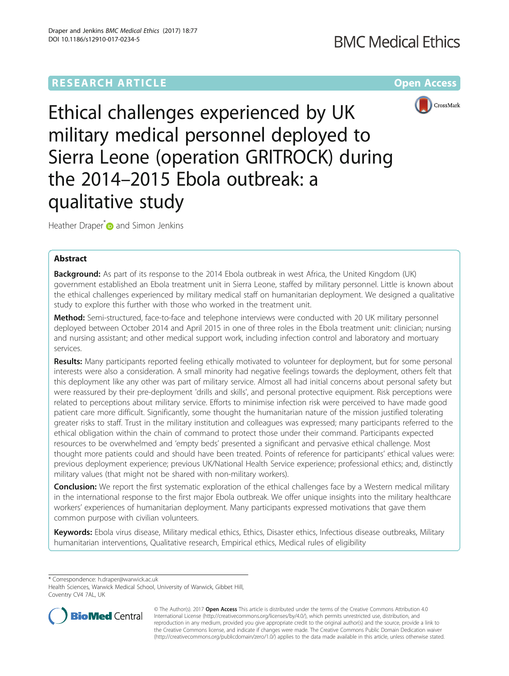# **RESEARCH ARTICLE Example 2014 12:30 The Community Community Community Community Community Community Community**



Ethical challenges experienced by UK military medical personnel deployed to Sierra Leone (operation GRITROCK) during the 2014–2015 Ebola outbreak: a qualitative study

Heather Draper<sup>[\\*](http://orcid.org/0000-0002-0020-4252)</sup> and Simon Jenkins

## Abstract

Background: As part of its response to the 2014 Ebola outbreak in west Africa, the United Kingdom (UK) government established an Ebola treatment unit in Sierra Leone, staffed by military personnel. Little is known about the ethical challenges experienced by military medical staff on humanitarian deployment. We designed a qualitative study to explore this further with those who worked in the treatment unit.

Method: Semi-structured, face-to-face and telephone interviews were conducted with 20 UK military personnel deployed between October 2014 and April 2015 in one of three roles in the Ebola treatment unit: clinician; nursing and nursing assistant; and other medical support work, including infection control and laboratory and mortuary services.

Results: Many participants reported feeling ethically motivated to volunteer for deployment, but for some personal interests were also a consideration. A small minority had negative feelings towards the deployment, others felt that this deployment like any other was part of military service. Almost all had initial concerns about personal safety but were reassured by their pre-deployment 'drills and skills', and personal protective equipment. Risk perceptions were related to perceptions about military service. Efforts to minimise infection risk were perceived to have made good patient care more difficult. Significantly, some thought the humanitarian nature of the mission justified tolerating greater risks to staff. Trust in the military institution and colleagues was expressed; many participants referred to the ethical obligation within the chain of command to protect those under their command. Participants expected resources to be overwhelmed and 'empty beds' presented a significant and pervasive ethical challenge. Most thought more patients could and should have been treated. Points of reference for participants' ethical values were: previous deployment experience; previous UK/National Health Service experience; professional ethics; and, distinctly military values (that might not be shared with non-military workers).

**Conclusion:** We report the first systematic exploration of the ethical challenges face by a Western medical military in the international response to the first major Ebola outbreak. We offer unique insights into the military healthcare workers' experiences of humanitarian deployment. Many participants expressed motivations that gave them common purpose with civilian volunteers.

Keywords: Ebola virus disease, Military medical ethics, Ethics, Disaster ethics, Infectious disease outbreaks, Military humanitarian interventions, Qualitative research, Empirical ethics, Medical rules of eligibility

\* Correspondence: [h.draper@warwick.ac.uk](mailto:h.draper@warwick.ac.uk)

Health Sciences, Warwick Medical School, University of Warwick, Gibbet Hill, Coventry CV4 7AL, UK



© The Author(s). 2017 **Open Access** This article is distributed under the terms of the Creative Commons Attribution 4.0 International License [\(http://creativecommons.org/licenses/by/4.0/](http://creativecommons.org/licenses/by/4.0/)), which permits unrestricted use, distribution, and reproduction in any medium, provided you give appropriate credit to the original author(s) and the source, provide a link to the Creative Commons license, and indicate if changes were made. The Creative Commons Public Domain Dedication waiver [\(http://creativecommons.org/publicdomain/zero/1.0/](http://creativecommons.org/publicdomain/zero/1.0/)) applies to the data made available in this article, unless otherwise stated.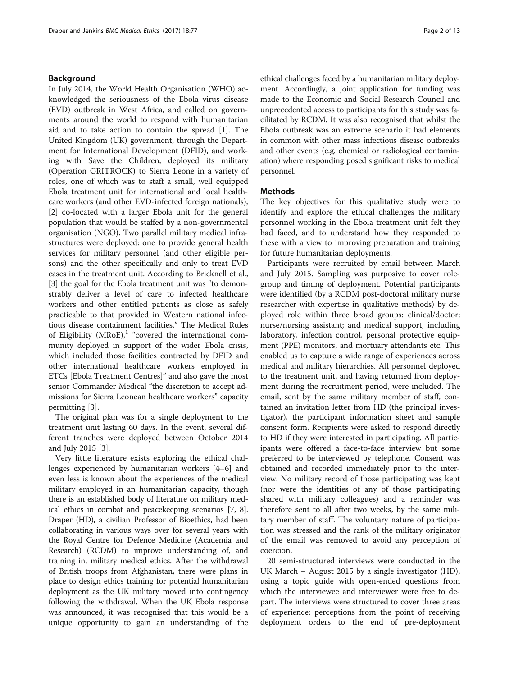### Background

In July 2014, the World Health Organisation (WHO) acknowledged the seriousness of the Ebola virus disease (EVD) outbreak in West Africa, and called on governments around the world to respond with humanitarian aid and to take action to contain the spread [\[1](#page-11-0)]. The United Kingdom (UK) government, through the Department for International Development (DFID), and working with Save the Children, deployed its military (Operation GRITROCK) to Sierra Leone in a variety of roles, one of which was to staff a small, well equipped Ebola treatment unit for international and local healthcare workers (and other EVD-infected foreign nationals), [[2\]](#page-11-0) co-located with a larger Ebola unit for the general population that would be staffed by a non-governmental organisation (NGO). Two parallel military medical infrastructures were deployed: one to provide general health services for military personnel (and other eligible persons) and the other specifically and only to treat EVD cases in the treatment unit. According to Bricknell et al., [[3\]](#page-11-0) the goal for the Ebola treatment unit was "to demonstrably deliver a level of care to infected healthcare workers and other entitled patients as close as safely practicable to that provided in Western national infectious disease containment facilities." The Medical Rules of Eligibility (MRoE),<sup>1</sup> "covered the international community deployed in support of the wider Ebola crisis, which included those facilities contracted by DFID and other international healthcare workers employed in ETCs [Ebola Treatment Centres]" and also gave the most senior Commander Medical "the discretion to accept admissions for Sierra Leonean healthcare workers" capacity permitting [[3\]](#page-11-0).

The original plan was for a single deployment to the treatment unit lasting 60 days. In the event, several different tranches were deployed between October 2014 and July 2015 [[3\]](#page-11-0).

Very little literature exists exploring the ethical challenges experienced by humanitarian workers [\[4](#page-11-0)–[6](#page-11-0)] and even less is known about the experiences of the medical military employed in an humanitarian capacity, though there is an established body of literature on military medical ethics in combat and peacekeeping scenarios [\[7](#page-11-0), [8](#page-11-0)]. Draper (HD), a civilian Professor of Bioethics, had been collaborating in various ways over for several years with the Royal Centre for Defence Medicine (Academia and Research) (RCDM) to improve understanding of, and training in, military medical ethics. After the withdrawal of British troops from Afghanistan, there were plans in place to design ethics training for potential humanitarian deployment as the UK military moved into contingency following the withdrawal. When the UK Ebola response was announced, it was recognised that this would be a unique opportunity to gain an understanding of the ethical challenges faced by a humanitarian military deployment. Accordingly, a joint application for funding was made to the Economic and Social Research Council and unprecedented access to participants for this study was facilitated by RCDM. It was also recognised that whilst the Ebola outbreak was an extreme scenario it had elements in common with other mass infectious disease outbreaks and other events (e.g. chemical or radiological contamination) where responding posed significant risks to medical personnel.

### Methods

The key objectives for this qualitative study were to identify and explore the ethical challenges the military personnel working in the Ebola treatment unit felt they had faced, and to understand how they responded to these with a view to improving preparation and training for future humanitarian deployments.

Participants were recruited by email between March and July 2015. Sampling was purposive to cover rolegroup and timing of deployment. Potential participants were identified (by a RCDM post-doctoral military nurse researcher with expertise in qualitative methods) by deployed role within three broad groups: clinical/doctor; nurse/nursing assistant; and medical support, including laboratory, infection control, personal protective equipment (PPE) monitors, and mortuary attendants etc. This enabled us to capture a wide range of experiences across medical and military hierarchies. All personnel deployed to the treatment unit, and having returned from deployment during the recruitment period, were included. The email, sent by the same military member of staff, contained an invitation letter from HD (the principal investigator), the participant information sheet and sample consent form. Recipients were asked to respond directly to HD if they were interested in participating. All participants were offered a face-to-face interview but some preferred to be interviewed by telephone. Consent was obtained and recorded immediately prior to the interview. No military record of those participating was kept (nor were the identities of any of those participating shared with military colleagues) and a reminder was therefore sent to all after two weeks, by the same military member of staff. The voluntary nature of participation was stressed and the rank of the military originator of the email was removed to avoid any perception of coercion.

20 semi-structured interviews were conducted in the UK March – August 2015 by a single investigator (HD), using a topic guide with open-ended questions from which the interviewee and interviewer were free to depart. The interviews were structured to cover three areas of experience: perceptions from the point of receiving deployment orders to the end of pre-deployment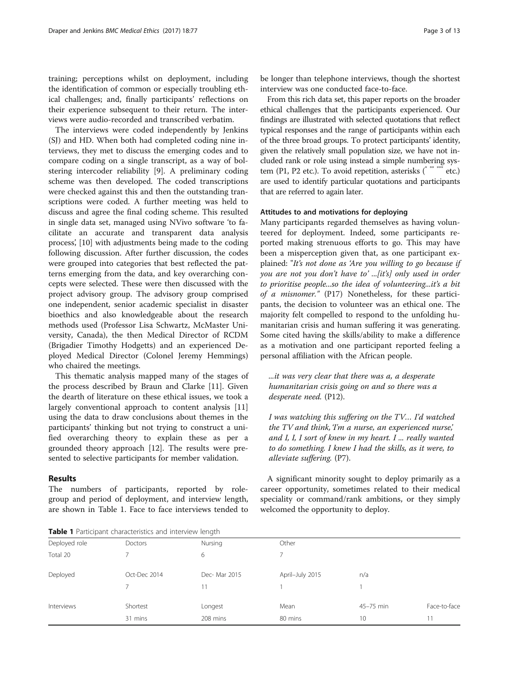training; perceptions whilst on deployment, including the identification of common or especially troubling ethical challenges; and, finally participants' reflections on their experience subsequent to their return. The interviews were audio-recorded and transcribed verbatim.

The interviews were coded independently by Jenkins (SJ) and HD. When both had completed coding nine interviews, they met to discuss the emerging codes and to compare coding on a single transcript, as a way of bolstering intercoder reliability [\[9](#page-11-0)]. A preliminary coding scheme was then developed. The coded transcriptions were checked against this and then the outstanding transcriptions were coded. A further meeting was held to discuss and agree the final coding scheme. This resulted in single data set, managed using NVivo software 'to facilitate an accurate and transparent data analysis process', [[10](#page-12-0)] with adjustments being made to the coding following discussion. After further discussion, the codes were grouped into categories that best reflected the patterns emerging from the data, and key overarching concepts were selected. These were then discussed with the project advisory group. The advisory group comprised one independent, senior academic specialist in disaster bioethics and also knowledgeable about the research methods used (Professor Lisa Schwartz, McMaster University, Canada), the then Medical Director of RCDM (Brigadier Timothy Hodgetts) and an experienced Deployed Medical Director (Colonel Jeremy Hemmings) who chaired the meetings.

This thematic analysis mapped many of the stages of the process described by Braun and Clarke [\[11\]](#page-12-0). Given the dearth of literature on these ethical issues, we took a largely conventional approach to content analysis [[11](#page-12-0)] using the data to draw conclusions about themes in the participants' thinking but not trying to construct a unified overarching theory to explain these as per a grounded theory approach [\[12\]](#page-12-0). The results were presented to selective participants for member validation.

### Results

The numbers of participants, reported by rolegroup and period of deployment, and interview length, are shown in Table 1. Face to face interviews tended to

be longer than telephone interviews, though the shortest interview was one conducted face-to-face.

From this rich data set, this paper reports on the broader ethical challenges that the participants experienced. Our findings are illustrated with selected quotations that reflect typical responses and the range of participants within each of the three broad groups. To protect participants' identity, given the relatively small population size, we have not included rank or role using instead a simple numbering system (P1, P2 etc.). To avoid repetition, asterisks (\* \*\* \*\*\* etc.) are used to identify particular quotations and participants that are referred to again later.

### Attitudes to and motivations for deploying

Many participants regarded themselves as having volunteered for deployment. Indeed, some participants reported making strenuous efforts to go. This may have been a misperception given that, as one participant explained: "It's not done as 'Are you willing to go because if you are not you don't have to' ...[it's] only used in order to prioritise people...so the idea of volunteering...it's a bit of a misnomer." (P17) Nonetheless, for these participants, the decision to volunteer was an ethical one. The majority felt compelled to respond to the unfolding humanitarian crisis and human suffering it was generating. Some cited having the skills/ability to make a difference as a motivation and one participant reported feeling a personal affiliation with the African people.

...it was very clear that there was a, a desperate humanitarian crisis going on and so there was a desperate need. (P12).

I was watching this suffering on the TV… I'd watched the TV and think, 'I'm a nurse, an experienced nurse,' and I, I, I sort of knew in my heart. I ... really wanted to do something. I knew I had the skills, as it were, to alleviate suffering. (P7).

A significant minority sought to deploy primarily as a career opportunity, sometimes related to their medical speciality or command/rank ambitions, or they simply welcomed the opportunity to deploy.

Table 1 Participant characteristics and interview length

| <b>Table 1</b> Participant characteristics and interview length |              |               |                 |                 |              |
|-----------------------------------------------------------------|--------------|---------------|-----------------|-----------------|--------------|
| Deployed role                                                   | Doctors      | Nursing       | Other           |                 |              |
| Total 20                                                        |              | 6             |                 |                 |              |
| Deployed                                                        | Oct-Dec 2014 | Dec- Mar 2015 | April-July 2015 | n/a             |              |
|                                                                 |              | 11            |                 |                 |              |
| Interviews                                                      | Shortest     | Longest       | Mean            | 45-75 min       | Face-to-face |
|                                                                 | 31 mins      | 208 mins      | 80 mins         | 10 <sup>°</sup> |              |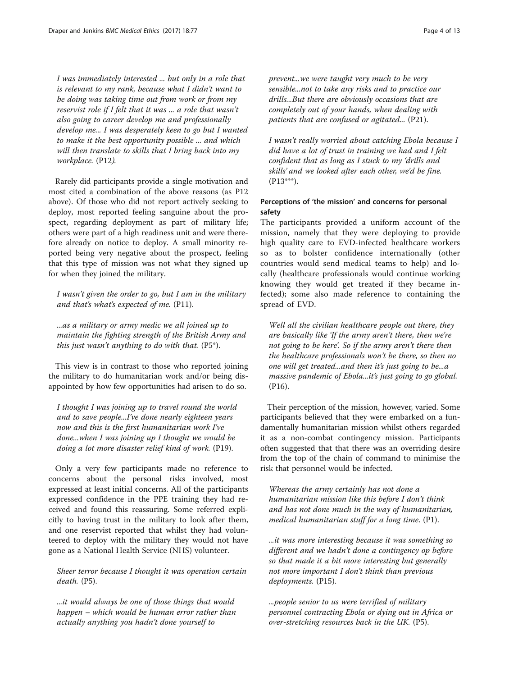I was immediately interested ... but only in a role that is relevant to my rank, because what I didn't want to be doing was taking time out from work or from my reservist role if I felt that it was ... a role that wasn't also going to career develop me and professionally develop me... I was desperately keen to go but I wanted to make it the best opportunity possible ... and which will then translate to skills that I bring back into my workplace. (P12).

Rarely did participants provide a single motivation and most cited a combination of the above reasons (as P12 above). Of those who did not report actively seeking to deploy, most reported feeling sanguine about the prospect, regarding deployment as part of military life; others were part of a high readiness unit and were therefore already on notice to deploy. A small minority reported being very negative about the prospect, feeling that this type of mission was not what they signed up for when they joined the military.

I wasn't given the order to go, but I am in the military and that's what's expected of me. (P11).

...as a military or army medic we all joined up to maintain the fighting strength of the British Army and this just wasn't anything to do with that.  $(P5^*)$ .

This view is in contrast to those who reported joining the military to do humanitarian work and/or being disappointed by how few opportunities had arisen to do so.

I thought I was joining up to travel round the world and to save people...I've done nearly eighteen years now and this is the first humanitarian work I've done...when I was joining up I thought we would be doing a lot more disaster relief kind of work. (P19).

Only a very few participants made no reference to concerns about the personal risks involved, most expressed at least initial concerns. All of the participants expressed confidence in the PPE training they had received and found this reassuring. Some referred explicitly to having trust in the military to look after them, and one reservist reported that whilst they had volunteered to deploy with the military they would not have gone as a National Health Service (NHS) volunteer.

Sheer terror because I thought it was operation certain death. (P5).

...it would always be one of those things that would happen – which would be human error rather than actually anything you hadn't done yourself to

prevent...we were taught very much to be very sensible...not to take any risks and to practice our drills...But there are obviously occasions that are completely out of your hands, when dealing with patients that are confused or agitated... (P21).

I wasn't really worried about catching Ebola because I did have a lot of trust in training we had and I felt confident that as long as I stuck to my 'drills and skills' and we looked after each other, we'd be fine. (P13\*\*\*).

### Perceptions of 'the mission' and concerns for personal safety

The participants provided a uniform account of the mission, namely that they were deploying to provide high quality care to EVD-infected healthcare workers so as to bolster confidence internationally (other countries would send medical teams to help) and locally (healthcare professionals would continue working knowing they would get treated if they became infected); some also made reference to containing the spread of EVD.

Well all the civilian healthcare people out there, they are basically like 'If the army aren't there, then we're not going to be here'. So if the army aren't there then the healthcare professionals won't be there, so then no one will get treated...and then it's just going to be...a massive pandemic of Ebola...it's just going to go global. (P16).

Their perception of the mission, however, varied. Some participants believed that they were embarked on a fundamentally humanitarian mission whilst others regarded it as a non-combat contingency mission. Participants often suggested that that there was an overriding desire from the top of the chain of command to minimise the risk that personnel would be infected.

Whereas the army certainly has not done a humanitarian mission like this before I don't think and has not done much in the way of humanitarian, medical humanitarian stuff for a long time. (P1).

...it was more interesting because it was something so different and we hadn't done a contingency op before so that made it a bit more interesting but generally not more important I don't think than previous deployments. (P15).

...people senior to us were terrified of military personnel contracting Ebola or dying out in Africa or over-stretching resources back in the UK. (P5).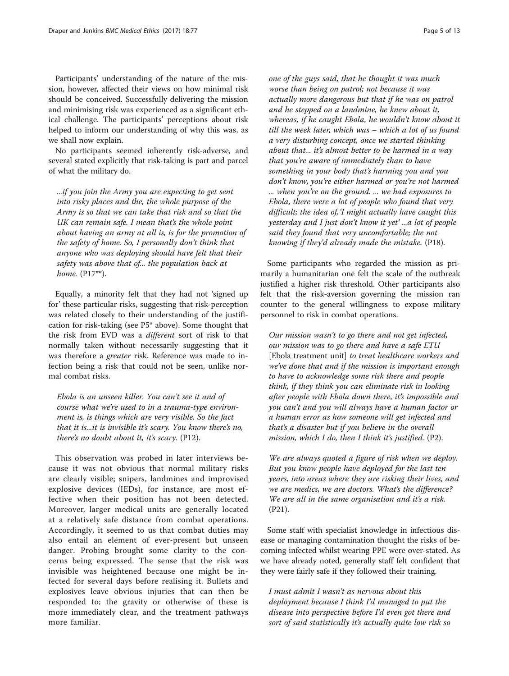Participants' understanding of the nature of the mission, however, affected their views on how minimal risk should be conceived. Successfully delivering the mission and minimising risk was experienced as a significant ethical challenge. The participants' perceptions about risk helped to inform our understanding of why this was, as we shall now explain.

No participants seemed inherently risk-adverse, and several stated explicitly that risk-taking is part and parcel of what the military do.

...if you join the Army you are expecting to get sent into risky places and the, the whole purpose of the Army is so that we can take that risk and so that the UK can remain safe. I mean that's the whole point about having an army at all is, is for the promotion of the safety of home. So, I personally don't think that anyone who was deploying should have felt that their safety was above that of... the population back at home. (P17\*\*).

Equally, a minority felt that they had not 'signed up for' these particular risks, suggesting that risk-perception was related closely to their understanding of the justification for risk-taking (see P5\* above). Some thought that the risk from EVD was a different sort of risk to that normally taken without necessarily suggesting that it was therefore a greater risk. Reference was made to infection being a risk that could not be seen, unlike normal combat risks.

Ebola is an unseen killer. You can't see it and of course what we're used to in a trauma-type environment is, is things which are very visible. So the fact that it is...it is invisible it's scary. You know there's no, there's no doubt about it, it's scary. (P12).

This observation was probed in later interviews because it was not obvious that normal military risks are clearly visible; snipers, landmines and improvised explosive devices (IEDs), for instance, are most effective when their position has not been detected. Moreover, larger medical units are generally located at a relatively safe distance from combat operations. Accordingly, it seemed to us that combat duties may also entail an element of ever-present but unseen danger. Probing brought some clarity to the concerns being expressed. The sense that the risk was invisible was heightened because one might be infected for several days before realising it. Bullets and explosives leave obvious injuries that can then be responded to; the gravity or otherwise of these is more immediately clear, and the treatment pathways more familiar.

one of the guys said, that he thought it was much worse than being on patrol; not because it was actually more dangerous but that if he was on patrol and he stepped on a landmine, he knew about it, whereas, if he caught Ebola, he wouldn't know about it till the week later, which was – which a lot of us found a very disturbing concept, once we started thinking about that... it's almost better to be harmed in a way that you're aware of immediately than to have something in your body that's harming you and you don't know, you're either harmed or you're not harmed ... when you're on the ground. ... we had exposures to Ebola, there were a lot of people who found that very difficult; the idea of, 'I might actually have caught this yesterday and I just don't know it yet' ...a lot of people said they found that very uncomfortable; the not knowing if they'd already made the mistake. (P18).

Some participants who regarded the mission as primarily a humanitarian one felt the scale of the outbreak justified a higher risk threshold. Other participants also felt that the risk-aversion governing the mission ran counter to the general willingness to expose military personnel to risk in combat operations.

Our mission wasn't to go there and not get infected, our mission was to go there and have a safe ETU [Ebola treatment unit] to treat healthcare workers and we've done that and if the mission is important enough to have to acknowledge some risk there and people think, if they think you can eliminate risk in looking after people with Ebola down there, it's impossible and you can't and you will always have a human factor or a human error as how someone will get infected and that's a disaster but if you believe in the overall mission, which I do, then I think it's justified. (P2).

We are always quoted a figure of risk when we deploy. But you know people have deployed for the last ten years, into areas where they are risking their lives, and we are medics, we are doctors. What's the difference? We are all in the same organisation and it's a risk. (P21).

Some staff with specialist knowledge in infectious disease or managing contamination thought the risks of becoming infected whilst wearing PPE were over-stated. As we have already noted, generally staff felt confident that they were fairly safe if they followed their training.

I must admit I wasn't as nervous about this deployment because I think I'd managed to put the disease into perspective before I'd even got there and sort of said statistically it's actually quite low risk so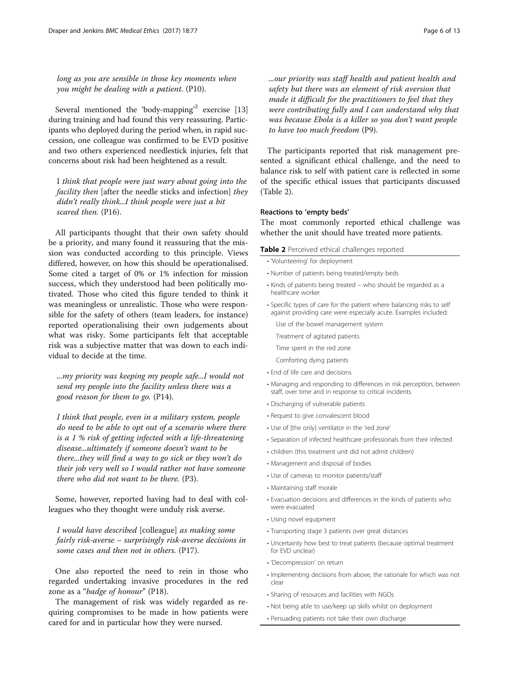<span id="page-5-0"></span>long as you are sensible in those key moments when you might be dealing with a patient. (P10).

Several mentioned the 'body-mapping'<sup>2</sup> exercise [[13](#page-12-0)] during training and had found this very reassuring. Participants who deployed during the period when, in rapid succession, one colleague was confirmed to be EVD positive and two others experienced needlestick injuries, felt that concerns about risk had been heightened as a result.

I think that people were just wary about going into the facility then [after the needle sticks and infection] they didn't really think...I think people were just a bit scared then. (P16).

All participants thought that their own safety should be a priority, and many found it reassuring that the mission was conducted according to this principle. Views differed, however, on how this should be operationalised. Some cited a target of 0% or 1% infection for mission success, which they understood had been politically motivated. Those who cited this figure tended to think it was meaningless or unrealistic. Those who were responsible for the safety of others (team leaders, for instance) reported operationalising their own judgements about what was risky. Some participants felt that acceptable risk was a subjective matter that was down to each individual to decide at the time.

...my priority was keeping my people safe...I would not send my people into the facility unless there was a good reason for them to go. (P14).

I think that people, even in a military system, people do need to be able to opt out of a scenario where there is a 1 % risk of getting infected with a life-threatening disease...ultimately if someone doesn't want to be there...they will find a way to go sick or they won't do their job very well so I would rather not have someone there who did not want to be there. (P3).

Some, however, reported having had to deal with colleagues who they thought were unduly risk averse.

I would have described [colleague] as making some fairly risk-averse – surprisingly risk-averse decisions in some cases and then not in others. (P17).

One also reported the need to rein in those who regarded undertaking invasive procedures in the red zone as a "badge of honour" (P18).

The management of risk was widely regarded as requiring compromises to be made in how patients were cared for and in particular how they were nursed.

...our priority was staff health and patient health and safety but there was an element of risk aversion that made it difficult for the practitioners to feel that they were contributing fully and I can understand why that was because Ebola is a killer so you don't want people to have too much freedom (P9).

The participants reported that risk management presented a significant ethical challenge, and the need to balance risk to self with patient care is reflected in some of the specific ethical issues that participants discussed (Table 2).

### Reactions to 'empty beds'

The most commonly reported ethical challenge was whether the unit should have treated more patients.

### Table 2 Perceived ethical challenges reported

- 'Volunteering' for deployment
- Number of patients being treated/empty beds
- Kinds of patients being treated who should be regarded as a healthcare worker
- Specific types of care for the patient where balancing risks to self against providing care were especially acute. Examples included:
	- Use of the bowel management system
	- Treatment of agitated patients
	- Time spent in the red zone
	- Comforting dying patients
- End of life care and decisions
- Managing and responding to differences in risk perception, between staff, over time and in response to critical incidents
- Discharging of vulnerable patients
- Request to give convalescent blood
- Use of [the only] ventilator in the 'red zone'
- Separation of infected healthcare professionals from their infected
- children (this treatment unit did not admit children)
- Management and disposal of bodies
- Use of cameras to monitor patients/staff
- Maintaining staff morale
- Evacuation decisions and differences in the kinds of patients who were evacuated
- Using novel equipment
- Transporting stage 3 patients over great distances
- Uncertainty how best to treat patients (because optimal treatment for EVD unclear)
- 'Decompression' on return
- Implementing decisions from above, the rationale for which was not clear
- Sharing of resources and facilities with NGOs
- Not being able to use/keep up skills whilst on deployment
- Persuading patients not take their own discharge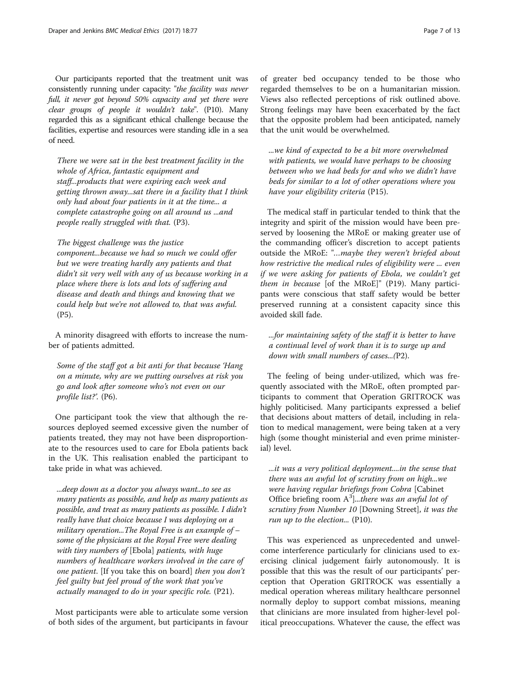Our participants reported that the treatment unit was consistently running under capacity: "the facility was never full, it never got beyond 50% capacity and yet there were clear groups of people it wouldn't take". (P10). Many regarded this as a significant ethical challenge because the facilities, expertise and resources were standing idle in a sea of need.

There we were sat in the best treatment facility in the whole of Africa, fantastic equipment and staff...products that were expiring each week and getting thrown away...sat there in a facility that I think only had about four patients in it at the time... a complete catastrophe going on all around us ...and people really struggled with that. (P3).

The biggest challenge was the justice component...because we had so much we could offer but we were treating hardly any patients and that didn't sit very well with any of us because working in a place where there is lots and lots of suffering and disease and death and things and knowing that we could help but we're not allowed to, that was awful. (P5).

A minority disagreed with efforts to increase the number of patients admitted.

Some of the staff got a bit anti for that because 'Hang on a minute, why are we putting ourselves at risk you go and look after someone who's not even on our profile list?'. (P6).

One participant took the view that although the resources deployed seemed excessive given the number of patients treated, they may not have been disproportionate to the resources used to care for Ebola patients back in the UK. This realisation enabled the participant to take pride in what was achieved.

...deep down as a doctor you always want...to see as many patients as possible, and help as many patients as possible, and treat as many patients as possible. I didn't really have that choice because I was deploying on a military operation...The Royal Free is an example of – some of the physicians at the Royal Free were dealing with tiny numbers of [Ebola] patients, with huge numbers of healthcare workers involved in the care of one patient. [If you take this on board] then you don't feel guilty but feel proud of the work that you've actually managed to do in your specific role. (P21).

Most participants were able to articulate some version of both sides of the argument, but participants in favour of greater bed occupancy tended to be those who regarded themselves to be on a humanitarian mission. Views also reflected perceptions of risk outlined above. Strong feelings may have been exacerbated by the fact that the opposite problem had been anticipated, namely that the unit would be overwhelmed.

...we kind of expected to be a bit more overwhelmed with patients, we would have perhaps to be choosing between who we had beds for and who we didn't have beds for similar to a lot of other operations where you have your eligibility criteria (P15).

The medical staff in particular tended to think that the integrity and spirit of the mission would have been preserved by loosening the MRoE or making greater use of the commanding officer's discretion to accept patients outside the MRoE: "…maybe they weren't briefed about how restrictive the medical rules of eligibility were ... even if we were asking for patients of Ebola, we couldn't get them in because [of the MRoE]" (P19). Many participants were conscious that staff safety would be better preserved running at a consistent capacity since this avoided skill fade.

...for maintaining safety of the staff it is better to have a continual level of work than it is to surge up and down with small numbers of cases...(P2).

The feeling of being under-utilized, which was frequently associated with the MRoE, often prompted participants to comment that Operation GRITROCK was highly politicised. Many participants expressed a belief that decisions about matters of detail, including in relation to medical management, were being taken at a very high (some thought ministerial and even prime ministerial) level.

...it was a very political deployment....in the sense that there was an awful lot of scrutiny from on high...we were having regular briefings from Cobra [Cabinet Office briefing room  $A^3]$ ...there was an awful lot of scrutiny from Number 10 [Downing Street], it was the run up to the election... (P10).

This was experienced as unprecedented and unwelcome interference particularly for clinicians used to exercising clinical judgement fairly autonomously. It is possible that this was the result of our participants' perception that Operation GRITROCK was essentially a medical operation whereas military healthcare personnel normally deploy to support combat missions, meaning that clinicians are more insulated from higher-level political preoccupations. Whatever the cause, the effect was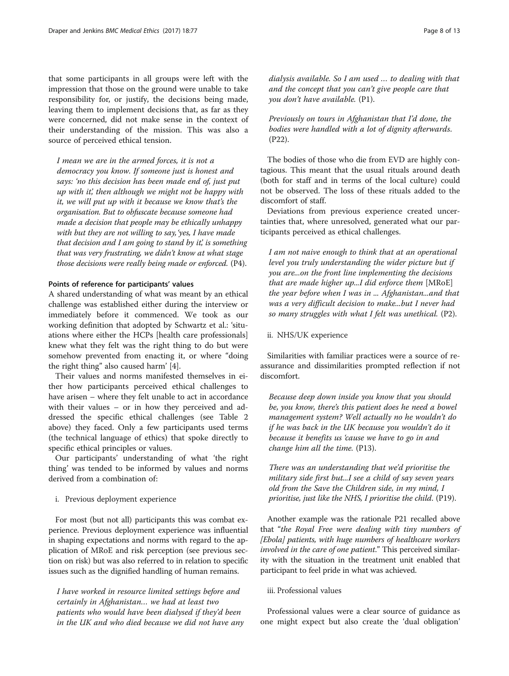that some participants in all groups were left with the impression that those on the ground were unable to take responsibility for, or justify, the decisions being made, leaving them to implement decisions that, as far as they were concerned, did not make sense in the context of their understanding of the mission. This was also a source of perceived ethical tension.

I mean we are in the armed forces, it is not a democracy you know. If someone just is honest and says: 'no this decision has been made end of, just put up with it', then although we might not be happy with it, we will put up with it because we know that's the organisation. But to obfuscate because someone had made a decision that people may be ethically unhappy with but they are not willing to say, 'yes, I have made that decision and I am going to stand by it, is something that was very frustrating, we didn't know at what stage those decisions were really being made or enforced. (P4).

### Points of reference for participants' values

A shared understanding of what was meant by an ethical challenge was established either during the interview or immediately before it commenced. We took as our working definition that adopted by Schwartz et al.: 'situations where either the HCPs [health care professionals] knew what they felt was the right thing to do but were somehow prevented from enacting it, or where "doing the right thing" also caused harm' [\[4](#page-11-0)].

Their values and norms manifested themselves in either how participants perceived ethical challenges to have arisen – where they felt unable to act in accordance with their values – or in how they perceived and addressed the specific ethical challenges (see Table [2](#page-5-0) above) they faced. Only a few participants used terms (the technical language of ethics) that spoke directly to specific ethical principles or values.

Our participants' understanding of what 'the right thing' was tended to be informed by values and norms derived from a combination of:

### i. Previous deployment experience

For most (but not all) participants this was combat experience. Previous deployment experience was influential in shaping expectations and norms with regard to the application of MRoE and risk perception (see previous section on risk) but was also referred to in relation to specific issues such as the dignified handling of human remains.

I have worked in resource limited settings before and certainly in Afghanistan… we had at least two patients who would have been dialysed if they'd been in the UK and who died because we did not have any dialysis available. So I am used … to dealing with that and the concept that you can't give people care that you don't have available. (P1).

Previously on tours in Afghanistan that I'd done, the bodies were handled with a lot of dignity afterwards. (P22).

The bodies of those who die from EVD are highly contagious. This meant that the usual rituals around death (both for staff and in terms of the local culture) could not be observed. The loss of these rituals added to the discomfort of staff.

Deviations from previous experience created uncertainties that, where unresolved, generated what our participants perceived as ethical challenges.

I am not naive enough to think that at an operational level you truly understanding the wider picture but if you are...on the front line implementing the decisions that are made higher up...I did enforce them [MRoE] the year before when I was in ... Afghanistan...and that was a very difficult decision to make...but I never had so many struggles with what I felt was unethical. (P2).

### ii. NHS/UK experience

Similarities with familiar practices were a source of reassurance and dissimilarities prompted reflection if not discomfort.

Because deep down inside you know that you should be, you know, there's this patient does he need a bowel management system? Well actually no he wouldn't do if he was back in the UK because you wouldn't do it because it benefits us 'cause we have to go in and change him all the time. (P13).

There was an understanding that we'd prioritise the military side first but...I see a child of say seven years old from the Save the Children side, in my mind, I prioritise, just like the NHS, I prioritise the child. (P19).

Another example was the rationale P21 recalled above that "the Royal Free were dealing with tiny numbers of [Ebola] patients, with huge numbers of healthcare workers involved in the care of one patient." This perceived similarity with the situation in the treatment unit enabled that participant to feel pride in what was achieved.

### iii. Professional values

Professional values were a clear source of guidance as one might expect but also create the 'dual obligation'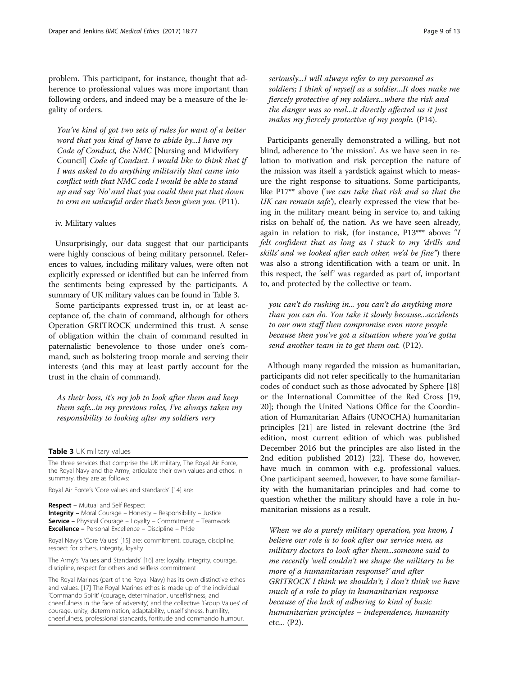problem. This participant, for instance, thought that adherence to professional values was more important than following orders, and indeed may be a measure of the legality of orders.

You've kind of got two sets of rules for want of a better word that you kind of have to abide by...I have my Code of Conduct, the NMC [Nursing and Midwifery Council] Code of Conduct. I would like to think that if I was asked to do anything militarily that came into conflict with that NMC code I would be able to stand up and say 'No' and that you could then put that down to erm an unlawful order that's been given you. (P11).

### iv. Military values

Unsurprisingly, our data suggest that our participants were highly conscious of being military personnel. References to values, including military values, were often not explicitly expressed or identified but can be inferred from the sentiments being expressed by the participants. A summary of UK military values can be found in Table 3.

Some participants expressed trust in, or at least acceptance of, the chain of command, although for others Operation GRITROCK undermined this trust. A sense of obligation within the chain of command resulted in paternalistic benevolence to those under one's command, such as bolstering troop morale and serving their interests (and this may at least partly account for the trust in the chain of command).

As their boss, it's my job to look after them and keep them safe...in my previous roles, I've always taken my responsibility to looking after my soldiers very

Table 3 UK military values

The three services that comprise the UK military, The Royal Air Force, the Royal Navy and the Army, articulate their own values and ethos. In summary, they are as follows:

Royal Air Force's 'Core values and standards' [[14\]](#page-12-0) are:

Respect - Mutual and Self Respect

Integrity - Moral Courage - Honesty - Responsibility - Justice Service – Physical Courage – Loyalty – Commitment – Teamwork Excellence – Personal Excellence – Discipline – Pride

Royal Navy's 'Core Values' [[15\]](#page-12-0) are: commitment, courage, discipline, respect for others, integrity, loyalty

The Army's 'Values and Standards' [[16\]](#page-12-0) are: loyalty, integrity, courage, discipline, respect for others and selfless commitment

The Royal Marines (part of the Royal Navy) has its own distinctive ethos and values. [[17](#page-12-0)] The Royal Marines ethos is made up of the individual 'Commando Spirit' (courage, determination, unselfishness, and cheerfulness in the face of adversity) and the collective 'Group Values' of courage, unity, determination, adaptability, unselfishness, humility, cheerfulness, professional standards, fortitude and commando humour.

seriously...I will always refer to my personnel as soldiers; I think of myself as a soldier...It does make me fiercely protective of my soldiers...where the risk and the danger was so real...it directly affected us it just makes my fiercely protective of my people. (P14).

Participants generally demonstrated a willing, but not blind, adherence to 'the mission'. As we have seen in relation to motivation and risk perception the nature of the mission was itself a yardstick against which to measure the right response to situations. Some participants, like P17\*\* above ('we can take that risk and so that the UK can remain safe'), clearly expressed the view that being in the military meant being in service to, and taking risks on behalf of, the nation. As we have seen already, again in relation to risk, (for instance, P13\*\*\* above: "I felt confident that as long as I stuck to my 'drills and skills' and we looked after each other, we'd be fine") there was also a strong identification with a team or unit. In this respect, the 'self' was regarded as part of, important to, and protected by the collective or team.

you can't do rushing in... you can't do anything more than you can do. You take it slowly because...accidents to our own staff then compromise even more people because then you've got a situation where you've gotta send another team in to get them out. (P12).

Although many regarded the mission as humanitarian, participants did not refer specifically to the humanitarian codes of conduct such as those advocated by Sphere [[18](#page-12-0)] or the International Committee of the Red Cross [[19](#page-12-0), [20\]](#page-12-0); though the United Nations Office for the Coordination of Humanitarian Affairs (UNOCHA) humanitarian principles [[21](#page-12-0)] are listed in relevant doctrine (the 3rd edition, most current edition of which was published December 2016 but the principles are also listed in the 2nd edition published 2012) [\[22\]](#page-12-0). These do, however, have much in common with e.g. professional values. One participant seemed, however, to have some familiarity with the humanitarian principles and had come to question whether the military should have a role in humanitarian missions as a result.

When we do a purely military operation, you know, I believe our role is to look after our service men, as military doctors to look after them...someone said to me recently 'well couldn't we shape the military to be more of a humanitarian response?' and after GRITROCK I think we shouldn't; I don't think we have much of a role to play in humanitarian response because of the lack of adhering to kind of basic humanitarian principles – independence, humanity etc... (P2).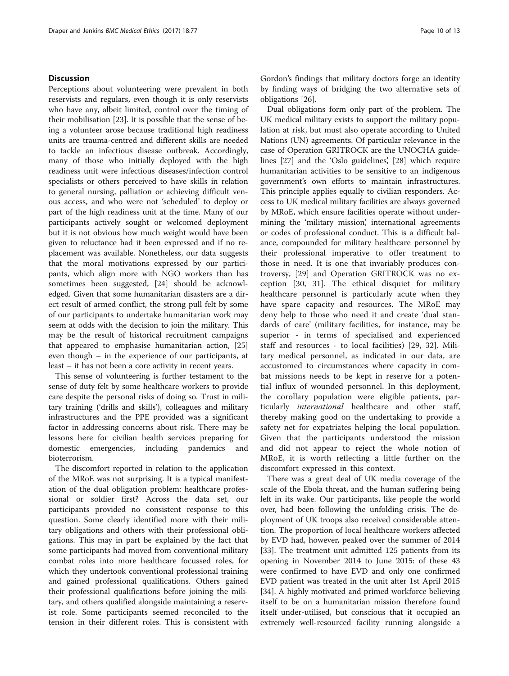### **Discussion**

Perceptions about volunteering were prevalent in both reservists and regulars, even though it is only reservists who have any, albeit limited, control over the timing of their mobilisation [\[23\]](#page-12-0). It is possible that the sense of being a volunteer arose because traditional high readiness units are trauma-centred and different skills are needed to tackle an infectious disease outbreak. Accordingly, many of those who initially deployed with the high readiness unit were infectious diseases/infection control specialists or others perceived to have skills in relation to general nursing, palliation or achieving difficult venous access, and who were not 'scheduled' to deploy or part of the high readiness unit at the time. Many of our participants actively sought or welcomed deployment but it is not obvious how much weight would have been given to reluctance had it been expressed and if no replacement was available. Nonetheless, our data suggests that the moral motivations expressed by our participants, which align more with NGO workers than has sometimes been suggested, [[24\]](#page-12-0) should be acknowledged. Given that some humanitarian disasters are a direct result of armed conflict, the strong pull felt by some of our participants to undertake humanitarian work may seem at odds with the decision to join the military. This may be the result of historical recruitment campaigns that appeared to emphasise humanitarian action, [[25](#page-12-0)] even though – in the experience of our participants, at least – it has not been a core activity in recent years.

This sense of volunteering is further testament to the sense of duty felt by some healthcare workers to provide care despite the personal risks of doing so. Trust in military training ('drills and skills'), colleagues and military infrastructures and the PPE provided was a significant factor in addressing concerns about risk. There may be lessons here for civilian health services preparing for domestic emergencies, including pandemics and bioterrorism.

The discomfort reported in relation to the application of the MRoE was not surprising. It is a typical manifestation of the dual obligation problem: healthcare professional or soldier first? Across the data set, our participants provided no consistent response to this question. Some clearly identified more with their military obligations and others with their professional obligations. This may in part be explained by the fact that some participants had moved from conventional military combat roles into more healthcare focussed roles, for which they undertook conventional professional training and gained professional qualifications. Others gained their professional qualifications before joining the military, and others qualified alongside maintaining a reservist role. Some participants seemed reconciled to the tension in their different roles. This is consistent with

Gordon's findings that military doctors forge an identity by finding ways of bridging the two alternative sets of obligations [\[26](#page-12-0)].

Dual obligations form only part of the problem. The UK medical military exists to support the military population at risk, but must also operate according to United Nations (UN) agreements. Of particular relevance in the case of Operation GRITROCK are the UNOCHA guidelines [\[27](#page-12-0)] and the 'Oslo guidelines', [[28](#page-12-0)] which require humanitarian activities to be sensitive to an indigenous government's own efforts to maintain infrastructures. This principle applies equally to civilian responders. Access to UK medical military facilities are always governed by MRoE, which ensure facilities operate without undermining the 'military mission', international agreements or codes of professional conduct. This is a difficult balance, compounded for military healthcare personnel by their professional imperative to offer treatment to those in need. It is one that invariably produces controversy, [[29\]](#page-12-0) and Operation GRITROCK was no exception [\[30](#page-12-0), [31\]](#page-12-0). The ethical disquiet for military healthcare personnel is particularly acute when they have spare capacity and resources. The MRoE may deny help to those who need it and create 'dual standards of care' (military facilities, for instance, may be superior - in terms of specialised and experienced staff and resources - to local facilities) [\[29](#page-12-0), [32\]](#page-12-0). Military medical personnel, as indicated in our data, are accustomed to circumstances where capacity in combat missions needs to be kept in reserve for a potential influx of wounded personnel. In this deployment, the corollary population were eligible patients, particularly international healthcare and other staff, thereby making good on the undertaking to provide a safety net for expatriates helping the local population. Given that the participants understood the mission and did not appear to reject the whole notion of MRoE, it is worth reflecting a little further on the discomfort expressed in this context.

There was a great deal of UK media coverage of the scale of the Ebola threat, and the human suffering being left in its wake. Our participants, like people the world over, had been following the unfolding crisis. The deployment of UK troops also received considerable attention. The proportion of local healthcare workers affected by EVD had, however, peaked over the summer of 2014 [[33\]](#page-12-0). The treatment unit admitted 125 patients from its opening in November 2014 to June 2015: of these 43 were confirmed to have EVD and only one confirmed EVD patient was treated in the unit after 1st April 2015 [[34\]](#page-12-0). A highly motivated and primed workforce believing itself to be on a humanitarian mission therefore found itself under-utilised, but conscious that it occupied an extremely well-resourced facility running alongside a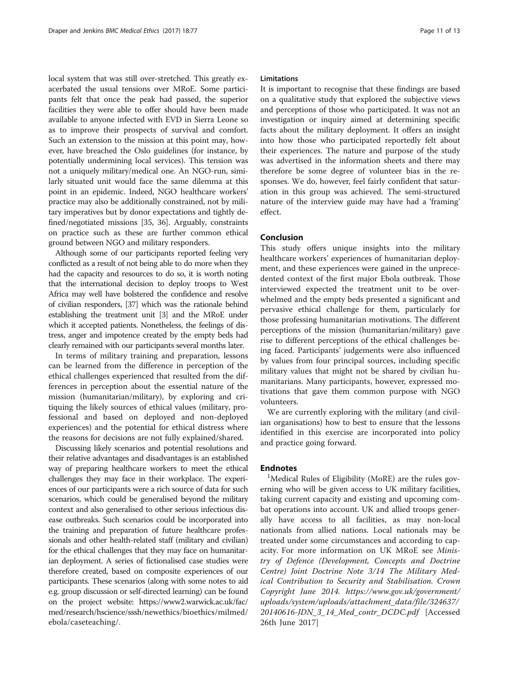local system that was still over-stretched. This greatly exacerbated the usual tensions over MRoE. Some participants felt that once the peak had passed, the superior facilities they were able to offer should have been made available to anyone infected with EVD in Sierra Leone so as to improve their prospects of survival and comfort. Such an extension to the mission at this point may, however, have breached the Oslo guidelines (for instance, by potentially undermining local services). This tension was not a uniquely military/medical one. An NGO-run, similarly situated unit would face the same dilemma at this point in an epidemic. Indeed, NGO healthcare workers' practice may also be additionally constrained, not by military imperatives but by donor expectations and tightly defined/negotiated missions [\[35, 36\]](#page-12-0). Arguably, constraints on practice such as these are further common ethical ground between NGO and military responders.

Although some of our participants reported feeling very conflicted as a result of not being able to do more when they had the capacity and resources to do so, it is worth noting that the international decision to deploy troops to West Africa may well have bolstered the confidence and resolve of civilian responders, [[37\]](#page-12-0) which was the rationale behind establishing the treatment unit [\[3\]](#page-11-0) and the MRoE under which it accepted patients. Nonetheless, the feelings of distress, anger and impotence created by the empty beds had clearly remained with our participants several months later.

In terms of military training and preparation, lessons can be learned from the difference in perception of the ethical challenges experienced that resulted from the differences in perception about the essential nature of the mission (humanitarian/military), by exploring and critiquing the likely sources of ethical values (military, professional and based on deployed and non-deployed experiences) and the potential for ethical distress where the reasons for decisions are not fully explained/shared.

Discussing likely scenarios and potential resolutions and their relative advantages and disadvantages is an established way of preparing healthcare workers to meet the ethical challenges they may face in their workplace. The experiences of our participants were a rich source of data for such scenarios, which could be generalised beyond the military context and also generalised to other serious infectious disease outbreaks. Such scenarios could be incorporated into the training and preparation of future healthcare professionals and other health-related staff (military and civilian) for the ethical challenges that they may face on humanitarian deployment. A series of fictionalised case studies were therefore created, based on composite experiences of our participants. These scenarios (along with some notes to aid e.g. group discussion or self-directed learning) can be found on the project website: [https://www2.warwick.ac.uk/fac/](https://www2.warwick.ac.uk/fac/med/research/hscience/sssh/newethics/bioethics/milmed/ebola/caseteaching/) [med/research/hscience/sssh/newethics/bioethics/milmed/](https://www2.warwick.ac.uk/fac/med/research/hscience/sssh/newethics/bioethics/milmed/ebola/caseteaching/) [ebola/caseteaching/.](https://www2.warwick.ac.uk/fac/med/research/hscience/sssh/newethics/bioethics/milmed/ebola/caseteaching/)

#### Limitations

It is important to recognise that these findings are based on a qualitative study that explored the subjective views and perceptions of those who participated. It was not an investigation or inquiry aimed at determining specific facts about the military deployment. It offers an insight into how those who participated reportedly felt about their experiences. The nature and purpose of the study was advertised in the information sheets and there may therefore be some degree of volunteer bias in the responses. We do, however, feel fairly confident that saturation in this group was achieved. The semi-structured nature of the interview guide may have had a 'framing' effect.

### Conclusion

This study offers unique insights into the military healthcare workers' experiences of humanitarian deployment, and these experiences were gained in the unprecedented context of the first major Ebola outbreak. Those interviewed expected the treatment unit to be overwhelmed and the empty beds presented a significant and pervasive ethical challenge for them, particularly for those professing humanitarian motivations. The different perceptions of the mission (humanitarian/military) gave rise to different perceptions of the ethical challenges being faced. Participants' judgements were also influenced by values from four principal sources, including specific military values that might not be shared by civilian humanitarians. Many participants, however, expressed motivations that gave them common purpose with NGO volunteers.

We are currently exploring with the military (and civilian organisations) how to best to ensure that the lessons identified in this exercise are incorporated into policy and practice going forward.

### **Endnotes**

<sup>1</sup>Medical Rules of Eligibility (MoRE) are the rules governing who will be given access to UK military facilities, taking current capacity and existing and upcoming combat operations into account. UK and allied troops generally have access to all facilities, as may non-local nationals from allied nations. Local nationals may be treated under some circumstances and according to capacity. For more information on UK MRoE see Ministry of Defence (Development, Concepts and Doctrine Centre) Joint Doctrine Note 3/14 The Military Medical Contribution to Security and Stabilisation. Crown Copyright June 2014. [https://www.gov.uk/government/](https://www.gov.uk/government/uploads/system/uploads/attachment_data/file/324637/20140616-JDN_3_14_Med_contr_DCDC.pdf) [uploads/system/uploads/attachment\\_data/file/324637/](https://www.gov.uk/government/uploads/system/uploads/attachment_data/file/324637/20140616-JDN_3_14_Med_contr_DCDC.pdf) [20140616-JDN\\_3\\_14\\_Med\\_contr\\_DCDC.pdf](https://www.gov.uk/government/uploads/system/uploads/attachment_data/file/324637/20140616-JDN_3_14_Med_contr_DCDC.pdf) [Accessed 26th June 2017]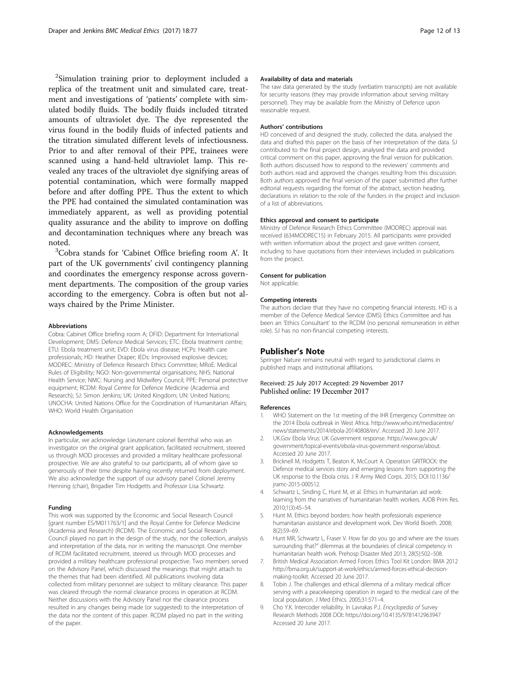<span id="page-11-0"></span><sup>2</sup>Simulation training prior to deployment included a replica of the treatment unit and simulated care, treatment and investigations of 'patients' complete with simulated bodily fluids. The bodily fluids included titrated amounts of ultraviolet dye. The dye represented the virus found in the bodily fluids of infected patients and the titration simulated different levels of infectiousness. Prior to and after removal of their PPE, trainees were scanned using a hand-held ultraviolet lamp. This revealed any traces of the ultraviolet dye signifying areas of potential contamination, which were formally mapped before and after doffing PPE. Thus the extent to which the PPE had contained the simulated contamination was immediately apparent, as well as providing potential quality assurance and the ability to improve on doffing and decontamination techniques where any breach was noted. <sup>3</sup>

<sup>3</sup>Cobra stands for 'Cabinet Office briefing room A'. It part of the UK governments' civil contingency planning and coordinates the emergency response across government departments. The composition of the group varies according to the emergency. Cobra is often but not always chaired by the Prime Minister.

#### Abbreviations

Cobra: Cabinet Office briefing room A; DFID: Department for International Development; DMS: Defence Medical Services; ETC: Ebola treatment centre; ETU: Ebola treatment unit; EVD: Ebola virus disease; HCPs: Health care professionals; HD: Heather Draper; IEDs: Improvised explosive devices; MODREC: Ministry of Defence Research Ethics Committee; MRoE: Medical Rules of Eligibility; NGO: Non-governmental organisations; NHS: National Health Service; NMC: Nursing and Midwifery Council; PPE: Personal protective equipment; RCDM: Royal Centre for Defence Medicine (Academia and Research); SJ: Simon Jenkins; UK: United Kingdom; UN: United Nations; UNOCHA: United Nations Office for the Coordination of Humanitarian Affairs; WHO: World Health Organisation

#### Acknowledgements

In particular, we acknowledge Lieutenant colonel Bernthal who was an investigator on the original grant application, facilitated recruitment, steered us through MOD processes and provided a military healthcare professional prospective. We are also grateful to our participants, all of whom gave so generously of their time despite having recently returned from deployment. We also acknowledge the support of our advisory panel Colonel Jeremy Henning (chair), Brigadier Tim Hodgetts and Professor Lisa Schwartz.

#### Funding

This work was supported by the Economic and Social Research Council [grant number ES/M011763/1] and the Royal Centre for Defence Medicine (Academia and Research) (RCDM). The Economic and Social Research Council played no part in the design of the study, nor the collection, analysis and interpretation of the data, nor in writing the manuscript. One member of RCDM facilitated recruitment, steered us through MOD processes and provided a military healthcare professional prospective. Two members served on the Advisory Panel, which discussed the meanings that might attach to the themes that had been identified. All publications involving data collected from military personnel are subject to military clearance. This paper was cleared through the normal clearance process in operation at RCDM. Neither discussions with the Advisory Panel nor the clearance process resulted in any changes being made (or suggested) to the interpretation of the data nor the content of this paper. RCDM played no part in the writing of the paper.

#### Availability of data and materials

The raw data generated by the study (verbatim transcripts) are not available for security reasons (they may provide information about serving military personnel). They may be available from the Ministry of Defence upon reasonable request.

#### Authors' contributions

HD conceived of and designed the study, collected the data, analysed the data and drafted this paper on the basis of her interpretation of the data. SJ contributed to the final project design, analysed the data and provided critical comment on this paper, approving the final version for publication. Both authors discussed how to respond to the reviewers' comments and both authors read and approved the changes resulting from this discussion. Both authors approved the final version of the paper submitted after further editorial requests regarding the format of the abstract, section heading, declarations in relation to the role of the funders in the project and inclusion of a list of abbreviations.

#### Ethics approval and consent to participate

Ministry of Defence Research Ethics Committee (MODREC) approval was received (634MODREC15) in February 2015. All participants were provided with written information about the project and gave written consent, including to have quotations from their interviews included in publications from the project.

#### Consent for publication

Not applicable.

#### Competing interests

The authors declare that they have no competing financial interests. HD is a member of the Defence Medical Service (DMS) Ethics Committee and has been an 'Ethics Consultant' to the RCDM (no personal remuneration in either role). SJ has no non-financial competing interests.

### Publisher's Note

Springer Nature remains neutral with regard to jurisdictional claims in published maps and institutional affiliations.

### Received: 25 July 2017 Accepted: 29 November 2017 Published online: 19 December 2017

#### References

- 1. WHO Statement on the 1st meeting of the IHR Emergency Committee on the 2014 Ebola outbreak in West Africa. [http://www.who.int/mediacentre/](http://www.who.int/mediacentre/news/statements/2014/ebola-20140808/en/) [news/statements/2014/ebola-20140808/en/](http://www.who.int/mediacentre/news/statements/2014/ebola-20140808/en/). Accessed 20 June 2017.
- 2. UK.Gov Ebola Virus: UK Government response. [https://www.gov.uk/](https://www.gov.uk/government/topical-events/ebola-virus-government-response/about) [government/topical-events/ebola-virus-government-response/about](https://www.gov.uk/government/topical-events/ebola-virus-government-response/about). Accessed 20 June 2017.
- 3. Bricknell M, Hodgetts T, Beaton K, McCourt A. Operation GRITROCK: the Defence medical services story and emerging lessons from supporting the UK response to the Ebola crisis. J R Army Med Corps. 2015; DOI:[10.1136/](http://dx.doi.org/10.1136/jramc-2015-000512) [jramc-2015-000512.](http://dx.doi.org/10.1136/jramc-2015-000512)
- 4. Schwartz L, Sinding C, Hunt M, et al. Ethics in humanitarian aid work: learning from the narratives of humanitarian health workers. AJOB Prim Res. 2010;1(3):45–54.
- 5. Hunt M. Ethics beyond borders: how health professionals experience humanitarian assistance and development work. Dev World Bioeth. 2008; 8(2):59–69.
- 6. Hunt MR, Schwartz L, Fraser V. How far do you go and where are the issues surrounding that?" dilemmas at the boundaries of clinical competency in humanitarian health work. Prehosp Disaster Med 2013; 28(5):502–508.
- 7. British Medical Association Armed Forces Ethics Tool Kit London: BMA 2012 [http://bma.org.uk/support-at-work/ethics/armed-forces-ethical-decision](http://bma.org.uk/support-at-work/ethics/armed-forces-ethical-decision-making-toolkit)[making-toolkit.](http://bma.org.uk/support-at-work/ethics/armed-forces-ethical-decision-making-toolkit) Accessed 20 June 2017.
- 8. Tobin J. The challenges and ethical dilemma of a military medical officer serving with a peacekeeping operation in regard to the medical care of the local population. J Med Ethics. 2005;31:571–4.
- 9. Cho Y.K. Intercoder reliability. In Lavrakas P.J. Encyclopedia of Survey Research Methods 2008 DOI: [https://doi.org/10.4135/9781412963947](http://dx.doi.org/10.4135/9781412963947) Accessed 20 June 2017.